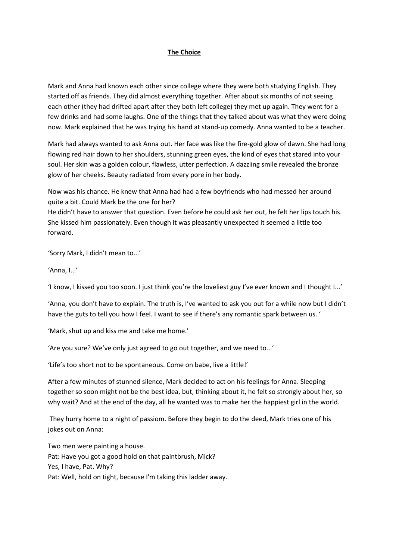## **The Choice**

Mark and Anna had known each other since college where they were both studying English. They started off as friends. They did almost everything together. After about six months of not seeing each other (they had drifted apart after they both left college) they met up again. They went for a few drinks and had some laughs. One of the things that they talked about was what they were doing now. Mark explained that he was trying his hand at stand-up comedy. Anna wanted to be a teacher.

Mark had always wanted to ask Anna out. Her face was like the fire-gold glow of dawn. She had long flowing red hair down to her shoulders, stunning green eyes, the kind of eyes that stared into your soul. Her skin was a golden colour, flawless, utter perfection. A dazzling smile revealed the bronze glow of her cheeks. Beauty radiated from every pore in her body.

Now was his chance. He knew that Anna had had a few boyfriends who had messed her around quite a bit. Could Mark be the one for her?

He didn't have to answer that question. Even before he could ask her out, he felt her lips touch his. She kissed him passionately. Even though it was pleasantly unexpected it seemed a little too forward.

'Sorry Mark, I didn't mean to...'

'Anna, I...'

'I know, I kissed you too soon. I just think you're the loveliest guy I've ever known and I thought I...'

'Anna, you don't have to explain. The truth is, I've wanted to ask you out for a while now but I didn't have the guts to tell you how I feel. I want to see if there's any romantic spark between us. '

'Mark, shut up and kiss me and take me home.'

'Are you sure? We've only just agreed to go out together, and we need to...'

'Life's too short not to be spontaneous. Come on babe, live a little!'

After a few minutes of stunned silence, Mark decided to act on his feelings for Anna. Sleeping together so soon might not be the best idea, but, thinking about it, he felt so strongly about her, so why wait? And at the end of the day, all he wanted was to make her the happiest girl in the world.

They hurry home to a night of passiom. Before they begin to do the deed, Mark tries one of his jokes out on Anna:

Two men were painting a house. Pat: Have you got a good hold on that paintbrush, Mick? Yes, I have, Pat. Why? Pat: Well, hold on tight, because I'm taking this ladder away.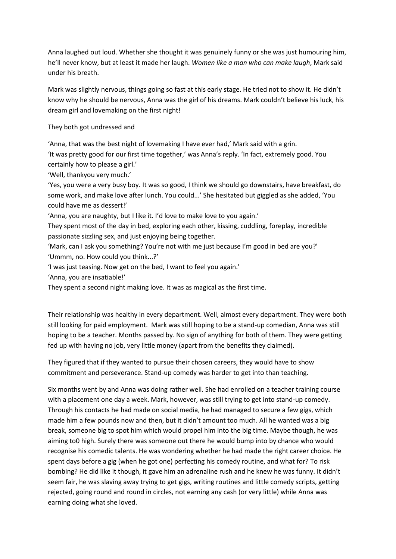Anna laughed out loud. Whether she thought it was genuinely funny or she was just humouring him, he'll never know, but at least it made her laugh. *Women like a man who can make laugh*, Mark said under his breath.

Mark was slightly nervous, things going so fast at this early stage. He tried not to show it. He didn't know why he should be nervous, Anna was the girl of his dreams. Mark couldn't believe his luck, his dream girl and lovemaking on the first night!

They both got undressed and

'Anna, that was the best night of lovemaking I have ever had,' Mark said with a grin.

'It was pretty good for our first time together,' was Anna's reply. 'In fact, extremely good. You certainly how to please a girl.'

'Well, thankyou very much.'

'Yes, you were a very busy boy. It was so good, I think we should go downstairs, have breakfast, do some work, and make love after lunch. You could...' She hesitated but giggled as she added, 'You could have me as dessert!'

'Anna, you are naughty, but I like it. I'd love to make love to you again.'

They spent most of the day in bed, exploring each other, kissing, cuddling, foreplay, incredible passionate sizzling sex, and just enjoying being together.

'Mark, can I ask you something? You're not with me just because I'm good in bed are you?' 'Ummm, no. How could you think...?'

'I was just teasing. Now get on the bed, I want to feel you again.'

'Anna, you are insatiable!'

They spent a second night making love. It was as magical as the first time.

Their relationship was healthy in every department. Well, almost every department. They were both still looking for paid employment. Mark was still hoping to be a stand-up comedian, Anna was still hoping to be a teacher. Months passed by. No sign of anything for both of them. They were getting fed up with having no job, very little money (apart from the benefits they claimed).

They figured that if they wanted to pursue their chosen careers, they would have to show commitment and perseverance. Stand-up comedy was harder to get into than teaching.

Six months went by and Anna was doing rather well. She had enrolled on a teacher training course with a placement one day a week. Mark, however, was still trying to get into stand-up comedy. Through his contacts he had made on social media, he had managed to secure a few gigs, which made him a few pounds now and then, but it didn't amount too much. All he wanted was a big break, someone big to spot him which would propel him into the big time. Maybe though, he was aiming to0 high. Surely there was someone out there he would bump into by chance who would recognise his comedic talents. He was wondering whether he had made the right career choice. He spent days before a gig (when he got one) perfecting his comedy routine, and what for? To risk bombing? He did like it though, it gave him an adrenaline rush and he knew he was funny. It didn't seem fair, he was slaving away trying to get gigs, writing routines and little comedy scripts, getting rejected, going round and round in circles, not earning any cash (or very little) while Anna was earning doing what she loved.